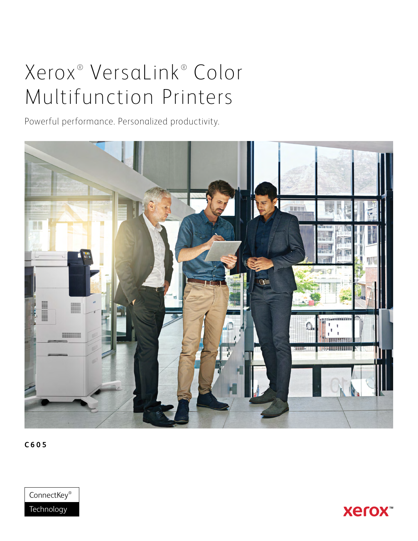# Xerox<sup>®</sup> VersaLink® Color Multifunction Printers

Powerful performance. Personalized productivity.



**C605**



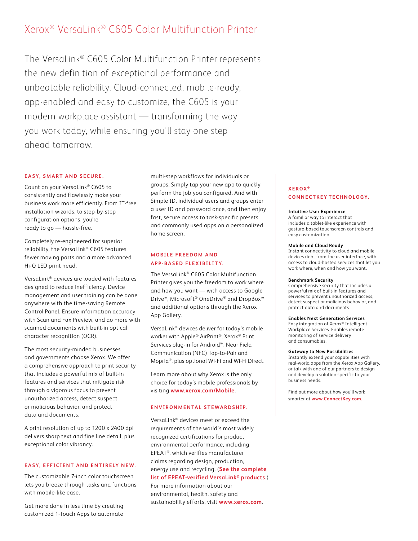# Xerox® VersaLink® C605 Color Multifunction Printer

The VersaLink® C605 Color Multifunction Printer represents the new definition of exceptional performance and unbeatable reliability. Cloud-connected, mobile-ready, app-enabled and easy to customize, the C605 is your modern workplace assistant — transforming the way you work today, while ensuring you'll stay one step ahead tomorrow.

# **EASY, SMART AND SECURE.**

Count on your VersaLink® C605 to consistently and flawlessly make your business work more efficiently. From IT-free installation wizards, to step-by-step configuration options, you're ready to go — hassle-free.

Completely re-engineered for superior reliability, the VersaLink® C605 features fewer moving parts and a more advanced Hi-Q LED print head.

VersaLink® devices are loaded with features designed to reduce inefficiency. Device management and user training can be done anywhere with the time-saving Remote Control Panel. Ensure information accuracy with Scan and Fax Preview, and do more with scanned documents with built-in optical character recognition (OCR).

The most security-minded businesses and governments choose Xerox. We offer a comprehensive approach to print security that includes a powerful mix of built-in features and services that mitigate risk through a vigorous focus to prevent unauthorized access, detect suspect or malicious behavior, and protect data and documents.

A print resolution of up to 1200 x 2400 dpi delivers sharp text and fine line detail, plus exceptional color vibrancy.

# **EASY, EFFICIENT AND ENTIRELY NEW.**

The customizable 7-inch color touchscreen lets you breeze through tasks and functions with mobile-like ease.

Get more done in less time by creating customized 1-Touch Apps to automate

multi-step workflows for individuals or groups. Simply tap your new app to quickly perform the job you configured. And with Simple ID, individual users and groups enter a user ID and password once, and then enjoy fast, secure access to task-specific presets and commonly used apps on a personalized home screen.

# **MOBILE FREEDOM AND APP-BASED FLEXIBILITY.**

The VersaLink® C605 Color Multifunction Printer gives you the freedom to work where and how you want — with access to Google Drive™, Microsoft® OneDrive® and DropBox™ and additional options through the Xerox App Gallery.

VersaLink® devices deliver for today's mobile worker with Apple® AirPrint®, Xerox® Print Services plug-in for Android™, Near Field Communication (NFC) Tap-to-Pair and Mopria®, plus optional Wi-Fi and Wi-Fi Direct.

Learn more about why Xerox is the only choice for today's mobile professionals by visiting **[www.xerox.com/Mobile](http://www.xerox.com/Mobile)**.

## **ENVIRONMENTAL STEWARDSHIP.**

VersaLink® devices meet or exceed the requirements of the world's most widely recognized certifications for product environmental performance, including EPEAT®, which verifies manufacturer claims regarding design, production, energy use and recycling. (**[See the complete](http://www.GreenElectronicsCouncil.org/epeat/epeat-overview)  [list of EPEAT-verified VersaLink® products.](http://www.GreenElectronicsCouncil.org/epeat/epeat-overview)**)

# For more information about our environmental, health, safety and sustainability efforts, visit **[www.xerox.com](http://www.xerox.com)**.

# **XEROX ® CONNECTKEY TECHNOLOGY.**

#### **Intuitive User Experience**

A familiar way to interact that includes a tablet-like experience with gesture-based touchscreen controls and easy customization.

#### **Mobile and Cloud Ready**

Instant connectivity to cloud and mobile devices right from the user interface, with access to cloud-hosted services that let you work where, when and how you want.

#### **Benchmark Security**

Comprehensive security that includes a powerful mix of built-in features and services to prevent unauthorized access, detect suspect or malicious behavior, and protect data and documents.

### **Enables Next Generation Services**

Easy integration of Xerox® Intelligent Workplace Services. Enables remote monitoring of service delivery and consumables.

#### **Gateway to New Possibilities**

Instantly extend your capabilities with real-world apps from the Xerox App Gallery, or talk with one of our partners to design and develop a solution specific to your business needs.

Find out more about how you'll work smarter at **www.ConnectKey.com**.